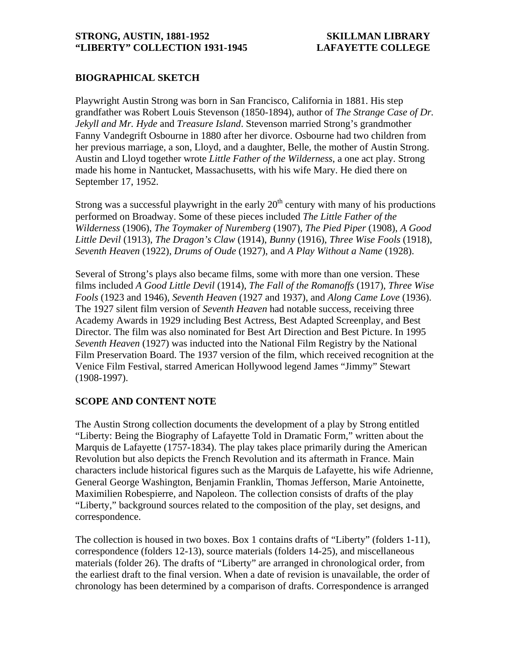### **STRONG, AUSTIN, 1881-1952 SKILLMAN LIBRARY "LIBERTY" COLLECTION 1931-1945 LAFAYETTE COLLEGE**

## **BIOGRAPHICAL SKETCH**

Playwright Austin Strong was born in San Francisco, California in 1881. His step grandfather was Robert Louis Stevenson (1850-1894), author of *The Strange Case of Dr. Jekyll and Mr. Hyde* and *Treasure Island*. Stevenson married Strong's grandmother Fanny Vandegrift Osbourne in 1880 after her divorce. Osbourne had two children from her previous marriage, a son, Lloyd, and a daughter, Belle, the mother of Austin Strong. Austin and Lloyd together wrote *Little Father of the Wilderness*, a one act play. Strong made his home in Nantucket, Massachusetts, with his wife Mary. He died there on September 17, 1952.

Strong was a successful playwright in the early  $20<sup>th</sup>$  century with many of his productions performed on Broadway. Some of these pieces included *The Little Father of the Wilderness* (1906), *The Toymaker of Nuremberg* (1907), *The Pied Piper* (1908), *A Good Little Devil* (1913), *The Dragon's Claw* (1914), *Bunny* (1916), *Three Wise Fools* (1918), *Seventh Heaven* (1922), *Drums of Oude* (1927), and *A Play Without a Name* (1928).

Several of Strong's plays also became films, some with more than one version. These films included *A Good Little Devil* (1914), *The Fall of the Romanoffs* (1917), *Three Wise Fools* (1923 and 1946), *Seventh Heaven* (1927 and 1937), and *Along Came Love* (1936). The 1927 silent film version of *Seventh Heaven* had notable success, receiving three Academy Awards in 1929 including Best Actress, Best Adapted Screenplay, and Best Director. The film was also nominated for Best Art Direction and Best Picture. In 1995 *Seventh Heaven* (1927) was inducted into the National Film Registry by the National Film Preservation Board. The 1937 version of the film, which received recognition at the Venice Film Festival, starred American Hollywood legend James "Jimmy" Stewart (1908-1997).

### **SCOPE AND CONTENT NOTE**

The Austin Strong collection documents the development of a play by Strong entitled "Liberty: Being the Biography of Lafayette Told in Dramatic Form," written about the Marquis de Lafayette (1757-1834). The play takes place primarily during the American Revolution but also depicts the French Revolution and its aftermath in France. Main characters include historical figures such as the Marquis de Lafayette, his wife Adrienne, General George Washington, Benjamin Franklin, Thomas Jefferson, Marie Antoinette, Maximilien Robespierre, and Napoleon. The collection consists of drafts of the play "Liberty," background sources related to the composition of the play, set designs, and correspondence.

The collection is housed in two boxes. Box 1 contains drafts of "Liberty" (folders 1-11), correspondence (folders 12-13), source materials (folders 14-25), and miscellaneous materials (folder 26). The drafts of "Liberty" are arranged in chronological order, from the earliest draft to the final version. When a date of revision is unavailable, the order of chronology has been determined by a comparison of drafts. Correspondence is arranged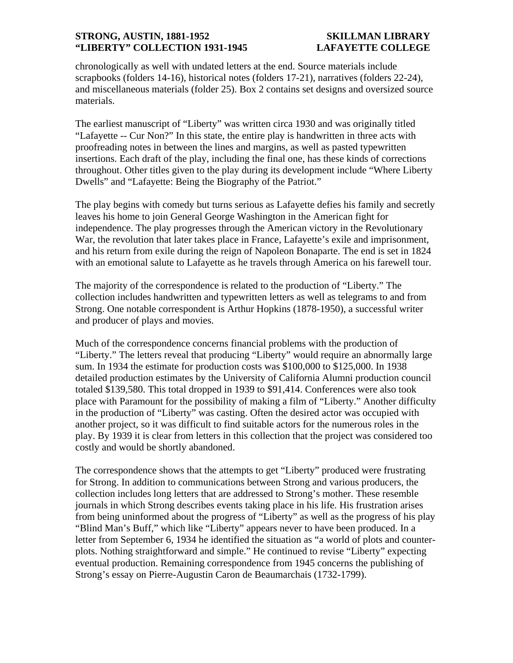### **STRONG, AUSTIN, 1881-1952 SKILLMAN LIBRARY "LIBERTY" COLLECTION 1931-1945 LAFAYETTE COLLEGE**

chronologically as well with undated letters at the end. Source materials include scrapbooks (folders 14-16), historical notes (folders 17-21), narratives (folders 22-24), and miscellaneous materials (folder 25). Box 2 contains set designs and oversized source materials.

The earliest manuscript of "Liberty" was written circa 1930 and was originally titled "Lafayette -- Cur Non?" In this state, the entire play is handwritten in three acts with proofreading notes in between the lines and margins, as well as pasted typewritten insertions. Each draft of the play, including the final one, has these kinds of corrections throughout. Other titles given to the play during its development include "Where Liberty Dwells" and "Lafayette: Being the Biography of the Patriot."

The play begins with comedy but turns serious as Lafayette defies his family and secretly leaves his home to join General George Washington in the American fight for independence. The play progresses through the American victory in the Revolutionary War, the revolution that later takes place in France, Lafayette's exile and imprisonment, and his return from exile during the reign of Napoleon Bonaparte. The end is set in 1824 with an emotional salute to Lafayette as he travels through America on his farewell tour.

The majority of the correspondence is related to the production of "Liberty." The collection includes handwritten and typewritten letters as well as telegrams to and from Strong. One notable correspondent is Arthur Hopkins (1878-1950), a successful writer and producer of plays and movies.

Much of the correspondence concerns financial problems with the production of "Liberty." The letters reveal that producing "Liberty" would require an abnormally large sum. In 1934 the estimate for production costs was \$100,000 to \$125,000. In 1938 detailed production estimates by the University of California Alumni production council totaled \$139,580. This total dropped in 1939 to \$91,414. Conferences were also took place with Paramount for the possibility of making a film of "Liberty." Another difficulty in the production of "Liberty" was casting. Often the desired actor was occupied with another project, so it was difficult to find suitable actors for the numerous roles in the play. By 1939 it is clear from letters in this collection that the project was considered too costly and would be shortly abandoned.

The correspondence shows that the attempts to get "Liberty" produced were frustrating for Strong. In addition to communications between Strong and various producers, the collection includes long letters that are addressed to Strong's mother. These resemble journals in which Strong describes events taking place in his life. His frustration arises from being uninformed about the progress of "Liberty" as well as the progress of his play "Blind Man's Buff," which like "Liberty" appears never to have been produced. In a letter from September 6, 1934 he identified the situation as "a world of plots and counterplots. Nothing straightforward and simple." He continued to revise "Liberty" expecting eventual production. Remaining correspondence from 1945 concerns the publishing of Strong's essay on Pierre-Augustin Caron de Beaumarchais (1732-1799).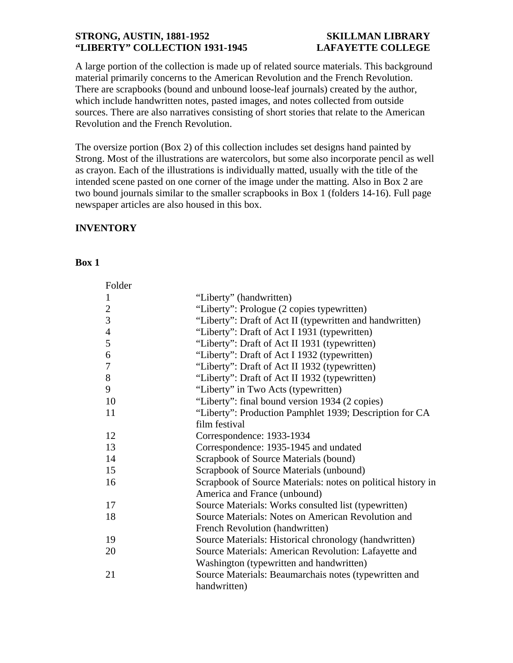### **STRONG, AUSTIN, 1881-1952 SKILLMAN LIBRARY "LIBERTY" COLLECTION 1931-1945 LAFAYETTE COLLEGE**

A large portion of the collection is made up of related source materials. This background material primarily concerns to the American Revolution and the French Revolution. There are scrapbooks (bound and unbound loose-leaf journals) created by the author, which include handwritten notes, pasted images, and notes collected from outside sources. There are also narratives consisting of short stories that relate to the American Revolution and the French Revolution.

The oversize portion (Box 2) of this collection includes set designs hand painted by Strong. Most of the illustrations are watercolors, but some also incorporate pencil as well as crayon. Each of the illustrations is individually matted, usually with the title of the intended scene pasted on one corner of the image under the matting. Also in Box 2 are two bound journals similar to the smaller scrapbooks in Box 1 (folders 14-16). Full page newspaper articles are also housed in this box.

# **INVENTORY**

### **Box 1**

| Folder         |                                                              |
|----------------|--------------------------------------------------------------|
| 1              | "Liberty" (handwritten)                                      |
| $\overline{2}$ | "Liberty": Prologue (2 copies typewritten)                   |
| 3              | "Liberty": Draft of Act II (typewritten and handwritten)     |
| $\overline{4}$ | "Liberty": Draft of Act I 1931 (typewritten)                 |
| 5              | "Liberty": Draft of Act II 1931 (typewritten)                |
| 6              | "Liberty": Draft of Act I 1932 (typewritten)                 |
| 7              | "Liberty": Draft of Act II 1932 (typewritten)                |
| 8              | "Liberty": Draft of Act II 1932 (typewritten)                |
| 9              | "Liberty" in Two Acts (typewritten)                          |
| 10             | "Liberty": final bound version 1934 (2 copies)               |
| 11             | "Liberty": Production Pamphlet 1939; Description for CA      |
|                | film festival                                                |
| 12             | Correspondence: 1933-1934                                    |
| 13             | Correspondence: 1935-1945 and undated                        |
| 14             | Scrapbook of Source Materials (bound)                        |
| 15             | Scrapbook of Source Materials (unbound)                      |
| 16             | Scrapbook of Source Materials: notes on political history in |
|                | America and France (unbound)                                 |
| 17             | Source Materials: Works consulted list (typewritten)         |
| 18             | Source Materials: Notes on American Revolution and           |
|                | French Revolution (handwritten)                              |
| 19             | Source Materials: Historical chronology (handwritten)        |
| 20             | Source Materials: American Revolution: Lafayette and         |
|                | Washington (typewritten and handwritten)                     |
| 21             | Source Materials: Beaumarchais notes (typewritten and        |
|                | handwritten)                                                 |